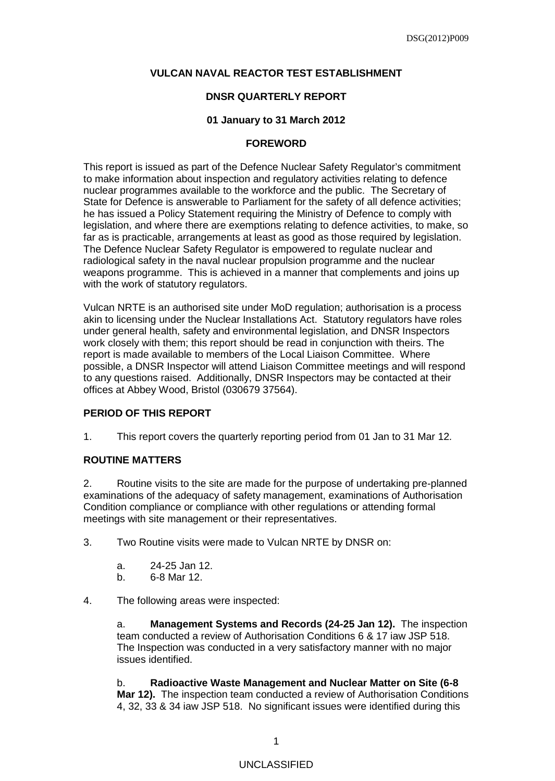#### **VULCAN NAVAL REACTOR TEST ESTABLISHMENT**

#### **DNSR QUARTERLY REPORT**

#### **01 January to 31 March 2012**

#### **FOREWORD**

This report is issued as part of the Defence Nuclear Safety Regulator's commitment to make information about inspection and regulatory activities relating to defence nuclear programmes available to the workforce and the public. The Secretary of State for Defence is answerable to Parliament for the safety of all defence activities; he has issued a Policy Statement requiring the Ministry of Defence to comply with legislation, and where there are exemptions relating to defence activities, to make, so far as is practicable, arrangements at least as good as those required by legislation. The Defence Nuclear Safety Regulator is empowered to regulate nuclear and radiological safety in the naval nuclear propulsion programme and the nuclear weapons programme. This is achieved in a manner that complements and joins up with the work of statutory regulators.

Vulcan NRTE is an authorised site under MoD regulation; authorisation is a process akin to licensing under the Nuclear Installations Act. Statutory regulators have roles under general health, safety and environmental legislation, and DNSR Inspectors work closely with them; this report should be read in conjunction with theirs. The report is made available to members of the Local Liaison Committee. Where possible, a DNSR Inspector will attend Liaison Committee meetings and will respond to any questions raised. Additionally, DNSR Inspectors may be contacted at their offices at Abbey Wood, Bristol (030679 37564).

### **PERIOD OF THIS REPORT**

1. This report covers the quarterly reporting period from 01 Jan to 31 Mar 12*.*

## **ROUTINE MATTERS**

2. Routine visits to the site are made for the purpose of undertaking pre-planned examinations of the adequacy of safety management, examinations of Authorisation Condition compliance or compliance with other regulations or attending formal meetings with site management or their representatives.

3. Two Routine visits were made to Vulcan NRTE by DNSR on:

- a. 24-25 Jan 12.
- b. 6-8 Mar 12.
- 4. The following areas were inspected:

a. **Management Systems and Records (24-25 Jan 12).** The inspection team conducted a review of Authorisation Conditions 6 & 17 iaw JSP 518. The Inspection was conducted in a very satisfactory manner with no major issues identified.

b. **Radioactive Waste Management and Nuclear Matter on Site (6-8 Mar 12).** The inspection team conducted a review of Authorisation Conditions 4, 32, 33 & 34 iaw JSP 518. No significant issues were identified during this

## UNCLASSIFIED